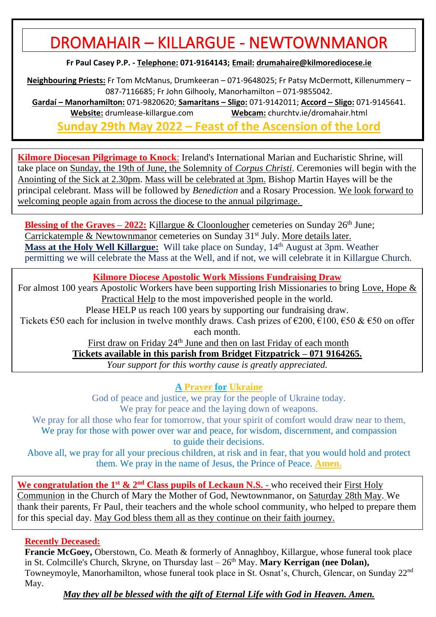# DROMAHAIR – KILLARGUE - NEWTOWNMANOR

**Fr Paul Casey P.P. - Telephone: 071-9164143; Email: [drumahaire@kilmorediocese.ie](about:blank)**

**Neighbouring Priests:** Fr Tom McManus, Drumkeeran – 071-9648025; Fr Patsy McDermott, Killenummery – 087-7116685; Fr John Gilhooly, Manorhamilton – 071-9855042.

**Gardaí – Manorhamilton:** 071-9820620; **Samaritans – Sligo:** 071-9142011; **Accord – Sligo:** 071-9145641. **Website:** drumlease-killargue.com **Webcam:** churchtv.ie/dromahair.html

**Sunday 29th May 2022 – Feast of the Ascension of the Lord**

**Kilmore Diocesan Pilgrimage to Knock**: Ireland's International Marian and Eucharistic Shrine, will take place on Sunday, the 19th of June, the Solemnity of *Corpus Christi*. Ceremonies will begin with the Anointing of the Sick at 2.30pm. Mass will be celebrated at 3pm. Bishop Martin Hayes will be the principal celebrant. Mass will be followed by *Benediction* and a Rosary Procession. We look forward to welcoming people again from across the diocese to the annual pilgrimage.

**Blessing of the Graves – 2022:** Killargue & Cloonlougher cemeteries on Sunday  $26<sup>th</sup>$  June; Carrickatemple & Newtownmanor cemeteries on Sunday  $31<sup>st</sup>$  July. More details later. **Mass at the Holy Well Killargue:** Will take place on Sunday, 14th August at 3pm. Weather permitting we will celebrate the Mass at the Well, and if not, we will celebrate it in Killargue Church.

**Kilmore Diocese Apostolic Work Missions Fundraising Draw**

For almost 100 years Apostolic Workers have been supporting Irish Missionaries to bring Love, Hope & Practical Help to the most impoverished people in the world.

Please HELP us reach 100 years by supporting our fundraising draw.

Tickets  $\epsilon$ 50 each for inclusion in twelve monthly draws. Cash prizes of  $\epsilon$ 200,  $\epsilon$ 100,  $\epsilon$ 50 &  $\epsilon$ 50 on offer each month.

First draw on Friday 24<sup>th</sup> June and then on last Friday of each month

**Tickets available in this parish from Bridget Fitzpatrick – 071 9164265.**

*Your support for this worthy cause is greatly appreciated.*

**A Prayer for Ukraine**

God of peace and justice, we pray for the people of Ukraine today. We pray for peace and the laying down of weapons.

We pray for all those who fear for tomorrow, that your spirit of comfort would draw near to them, We pray for those with power over war and peace, for wisdom, discernment, and compassion to guide their decisions.

Above all, we pray for all your precious children, at risk and in fear, that you would hold and protect them. We pray in the name of Jesus, the Prince of Peace. **Amen.**

**We congratulation the 1<sup>st</sup> & 2<sup>nd</sup> Class pupils of Leckaun N.S. - who received their First Holy** Communion in the Church of Mary the Mother of God, Newtownmanor, on Saturday 28th May. We thank their parents, Fr Paul, their teachers and the whole school community, who helped to prepare them for this special day. May God bless them all as they continue on their faith journey.

#### **Recently Deceased:**

**Francie McGoey,** Oberstown, Co. Meath & formerly of Annaghboy, Killargue, whose funeral took place in St. Colmcille's Church, Skryne, on Thursday last –  $26<sup>th</sup>$  May. **Mary Kerrigan** (nee Dolan), Towneymoyle, Manorhamilton, whose funeral took place in St. Osnat's, Church, Glencar, on Sunday 22nd May.

*May they all be blessed with the gift of Eternal Life with God in Heaven. Amen.*